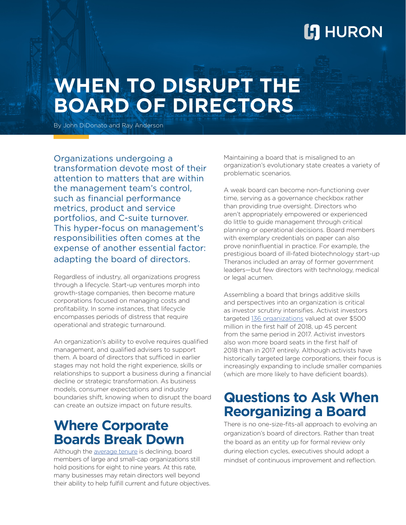## **L'I** HURON

# **WHEN TO DISRUPT THE BOARD OF DIRECTORS**

By John DiDonato and Ray Anderson

Organizations undergoing a transformation devote most of their attention to matters that are within the management team's control, such as financial performance metrics, product and service portfolios, and C-suite turnover. This hyper-focus on management's responsibilities often comes at the expense of another essential factor: adapting the board of directors.

Regardless of industry, all organizations progress through a lifecycle. Start-up ventures morph into growth-stage companies, then become mature corporations focused on managing costs and profitability. In some instances, that lifecycle encompasses periods of distress that require operational and strategic turnaround.

An organization's ability to evolve requires qualified management, and qualified advisers to support them. A board of directors that sufficed in earlier stages may not hold the right experience, skills or relationships to support a business during a financial decline or strategic transformation. As business models, consumer expectations and industry boundaries shift, knowing when to disrupt the board can create an outsize impact on future results.

## **Where Corporate Boards Break Down**

Although the [average tenure](https://connect.societycorpgov.org/blogs/randi-morrison/2017/05/31/board-practices-average-director-tenureterm-limit-trends) is declining, board members of large and small-cap organizations still hold positions for eight to nine years. At this rate, many businesses may retain directors well beyond their ability to help fulfill current and future objectives. Maintaining a board that is misaligned to an organization's evolutionary state creates a variety of problematic scenarios.

A weak board can become non-functioning over time, serving as a governance checkbox rather than providing true oversight. Directors who aren't appropriately empowered or experienced do little to guide management through critical planning or operational decisions. Board members with exemplary credentials on paper can also prove noninfluential in practice. For example, the prestigious board of ill-fated biotechnology start-up Theranos included an array of former government leaders—but few directors with technology, medical or legal acumen.

Assembling a board that brings additive skills and perspectives into an organization is critical as investor scrutiny intensifies. Activist investors targeted [136 organizations](https://www.wsj.com/articles/activist-investors-turn-up-heat-in-drive-for-returns-1531434346?dlbk&te=1&nl=dealbook&emc=edit_dk_20180713) valued at over \$500 million in the first half of 2018, up 45 percent from the same period in 2017. Activist investors also won more board seats in the first half of 2018 than in 2017 entirely. Although activists have historically targeted large corporations, their focus is increasingly expanding to include smaller companies (which are more likely to have deficient boards).

## **Questions to Ask When Reorganizing a Board**

There is no one-size-fits-all approach to evolving an organization's board of directors. Rather than treat the board as an entity up for formal review only during election cycles, executives should adopt a mindset of continuous improvement and reflection.